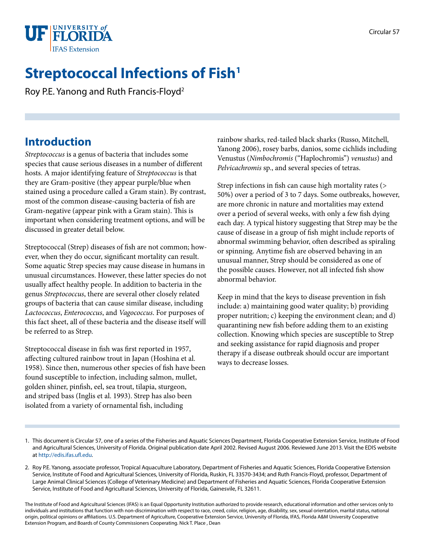

# **Streptococcal Infections of Fish<sup>1</sup>**

Roy P.E. Yanong and Ruth Francis-Floyd2

## **Introduction**

*Streptococcus* is a genus of bacteria that includes some species that cause serious diseases in a number of different hosts. A major identifying feature of *Streptococcus* is that they are Gram-positive (they appear purple/blue when stained using a procedure called a Gram stain). By contrast, most of the common disease-causing bacteria of fish are Gram-negative (appear pink with a Gram stain). This is important when considering treatment options, and will be discussed in greater detail below.

Streptococcal (Strep) diseases of fish are not common; however, when they do occur, significant mortality can result. Some aquatic Strep species may cause disease in humans in unusual circumstances. However, these latter species do not usually affect healthy people. In addition to bacteria in the genus *Streptococcus*, there are several other closely related groups of bacteria that can cause similar disease, including *Lactococcus*, *Enterococcus*, and *Vagococcus*. For purposes of this fact sheet, all of these bacteria and the disease itself will be referred to as Strep.

Streptococcal disease in fish was first reported in 1957, affecting cultured rainbow trout in Japan (Hoshina et al. 1958). Since then, numerous other species of fish have been found susceptible to infection, including salmon, mullet, golden shiner, pinfish, eel, sea trout, tilapia, sturgeon, and striped bass (Inglis et al. 1993). Strep has also been isolated from a variety of ornamental fish, including

rainbow sharks, red-tailed black sharks (Russo, Mitchell, Yanong 2006), rosey barbs, danios, some cichlids including Venustus (*Nimbochromis* ("Haplochromis") *venustus*) and *Pelvicachromis* sp., and several species of tetras.

Strep infections in fish can cause high mortality rates (> 50%) over a period of 3 to 7 days. Some outbreaks, however, are more chronic in nature and mortalities may extend over a period of several weeks, with only a few fish dying each day. A typical history suggesting that Strep may be the cause of disease in a group of fish might include reports of abnormal swimming behavior, often described as spiraling or spinning. Anytime fish are observed behaving in an unusual manner, Strep should be considered as one of the possible causes. However, not all infected fish show abnormal behavior.

Keep in mind that the keys to disease prevention in fish include: a) maintaining good water quality; b) providing proper nutrition; c) keeping the environment clean; and d) quarantining new fish before adding them to an existing collection. Knowing which species are susceptible to Strep and seeking assistance for rapid diagnosis and proper therapy if a disease outbreak should occur are important ways to decrease losses.

The Institute of Food and Agricultural Sciences (IFAS) is an Equal Opportunity Institution authorized to provide research, educational information and other services only to individuals and institutions that function with non-discrimination with respect to race, creed, color, religion, age, disability, sex, sexual orientation, marital status, national origin, political opinions or affiliations. U.S. Department of Agriculture, Cooperative Extension Service, University of Florida, IFAS, Florida A&M University Cooperative Extension Program, and Boards of County Commissioners Cooperating. Nick T. Place , Dean

<sup>1.</sup> This document is Circular 57, one of a series of the Fisheries and Aquatic Sciences Department, Florida Cooperative Extension Service, Institute of Food and Agricultural Sciences, University of Florida. Original publication date April 2002. Revised August 2006. Reviewed June 2013. Visit the EDIS website at<http://edis.ifas.ufl.edu>.

<sup>2.</sup> Roy P.E. Yanong, associate professor, Tropical Aquaculture Laboratory, Department of Fisheries and Aquatic Sciences, Florida Cooperative Extension Service, Institute of Food and Agricultural Sciences, University of Florida, Ruskin, FL 33570-3434; and Ruth Francis-Floyd, professor, Department of Large Animal Clinical Sciences (College of Veterinary Medicine) and Department of Fisheries and Aquatic Sciences, Florida Cooperative Extension Service, Institute of Food and Agricultural Sciences, University of Florida, Gainesvile, FL 32611.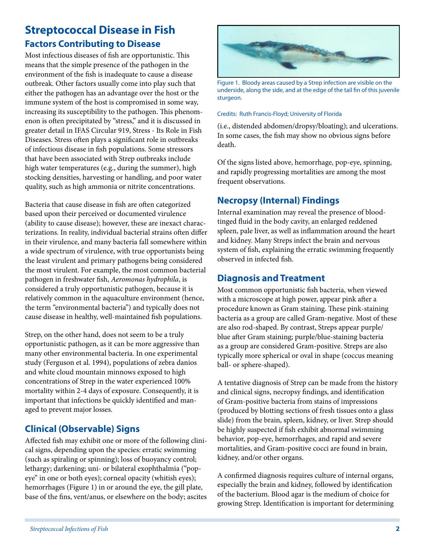## **Streptococcal Disease in Fish Factors Contributing to Disease**

Most infectious diseases of fish are opportunistic. This means that the simple presence of the pathogen in the environment of the fish is inadequate to cause a disease outbreak. Other factors usually come into play such that either the pathogen has an advantage over the host or the immune system of the host is compromised in some way, increasing its susceptibility to the pathogen. This phenomenon is often precipitated by "stress," and it is discussed in greater detail in IFAS Circular 919, Stress - Its Role in Fish Diseases. Stress often plays a significant role in outbreaks of infectious disease in fish populations. Some stressors that have been associated with Strep outbreaks include high water temperatures (e.g., during the summer), high stocking densities, harvesting or handling, and poor water quality, such as high ammonia or nitrite concentrations.

Bacteria that cause disease in fish are often categorized based upon their perceived or documented virulence (ability to cause disease); however, these are inexact characterizations. In reality, individual bacterial strains often differ in their virulence, and many bacteria fall somewhere within a wide spectrum of virulence, with true opportunists being the least virulent and primary pathogens being considered the most virulent. For example, the most common bacterial pathogen in freshwater fish, *Aeromonas hydrophila*, is considered a truly opportunistic pathogen, because it is relatively common in the aquaculture environment (hence, the term "environmental bacteria") and typically does not cause disease in healthy, well-maintained fish populations.

Strep, on the other hand, does not seem to be a truly opportunistic pathogen, as it can be more aggressive than many other environmental bacteria. In one experimental study (Ferguson et al. 1994), populations of zebra danios and white cloud mountain minnows exposed to high concentrations of Strep in the water experienced 100% mortality within 2-4 days of exposure. Consequently, it is important that infections be quickly identified and managed to prevent major losses.

### **Clinical (Observable) Signs**

Affected fish may exhibit one or more of the following clinical signs, depending upon the species: erratic swimming (such as spiraling or spinning); loss of buoyancy control; lethargy; darkening; uni- or bilateral exophthalmia ("popeye" in one or both eyes); corneal opacity (whitish eyes); hemorrhages (Figure 1) in or around the eye, the gill plate, base of the fins, vent/anus, or elsewhere on the body; ascites



Figure 1. Bloody areas caused by a Strep infection are visible on the underside, along the side, and at the edge of the tail fin of this juvenile sturgeon.

#### Credits: Ruth Francis-Floyd; University of Florida

(i.e., distended abdomen/dropsy/bloating); and ulcerations. In some cases, the fish may show no obvious signs before death.

Of the signs listed above, hemorrhage, pop-eye, spinning, and rapidly progressing mortalities are among the most frequent observations.

#### **Necropsy (Internal) Findings**

Internal examination may reveal the presence of bloodtinged fluid in the body cavity, an enlarged reddened spleen, pale liver, as well as inflammation around the heart and kidney. Many Streps infect the brain and nervous system of fish, explaining the erratic swimming frequently observed in infected fish.

#### **Diagnosis and Treatment**

Most common opportunistic fish bacteria, when viewed with a microscope at high power, appear pink after a procedure known as Gram staining. These pink-staining bacteria as a group are called Gram-negative. Most of these are also rod-shaped. By contrast, Streps appear purple/ blue after Gram staining; purple/blue-staining bacteria as a group are considered Gram-positive. Streps are also typically more spherical or oval in shape (coccus meaning ball- or sphere-shaped).

A tentative diagnosis of Strep can be made from the history and clinical signs, necropsy findings, and identification of Gram-positive bacteria from stains of impressions (produced by blotting sections of fresh tissues onto a glass slide) from the brain, spleen, kidney, or liver. Strep should be highly suspected if fish exhibit abnormal swimming behavior, pop-eye, hemorrhages, and rapid and severe mortalities, and Gram-positive cocci are found in brain, kidney, and/or other organs.

A confirmed diagnosis requires culture of internal organs, especially the brain and kidney, followed by identification of the bacterium. Blood agar is the medium of choice for growing Strep. Identification is important for determining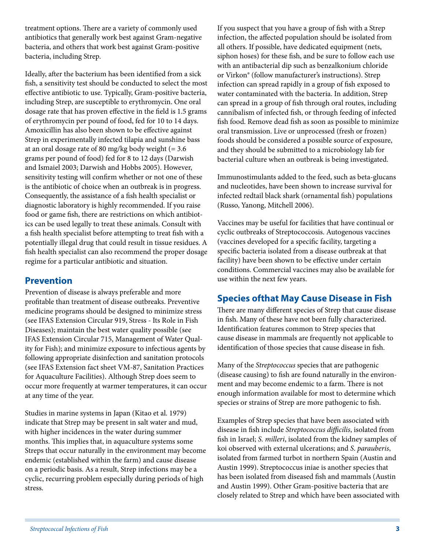treatment options. There are a variety of commonly used antibiotics that generally work best against Gram-negative bacteria, and others that work best against Gram-positive bacteria, including Strep.

Ideally, after the bacterium has been identified from a sick fish, a sensitivity test should be conducted to select the most effective antibiotic to use. Typically, Gram-positive bacteria, including Strep, are susceptible to erythromycin. One oral dosage rate that has proven effective in the field is 1.5 grams of erythromycin per pound of food, fed for 10 to 14 days. Amoxicillin has also been shown to be effective against Strep in experimentally infected tilapia and sunshine bass at an oral dosage rate of 80 mg/kg body weight  $(= 3.6)$ grams per pound of food) fed for 8 to 12 days (Darwish and Ismaiel 2003; Darwish and Hobbs 2005). However, sensitivity testing will confirm whether or not one of these is the antibiotic of choice when an outbreak is in progress. Consequently, the assistance of a fish health specialist or diagnostic laboratory is highly recommended. If you raise food or game fish, there are restrictions on which antibiotics can be used legally to treat these animals. Consult with a fish health specialist before attempting to treat fish with a potentially illegal drug that could result in tissue residues. A fish health specialist can also recommend the proper dosage regime for a particular antibiotic and situation.

#### **Prevention**

Prevention of disease is always preferable and more profitable than treatment of disease outbreaks. Preventive medicine programs should be designed to minimize stress (see IFAS Extension Circular 919, Stress - Its Role in Fish Diseases); maintain the best water quality possible (see IFAS Extension Circular 715, Management of Water Quality for Fish); and minimize exposure to infectious agents by following appropriate disinfection and sanitation protocols (see IFAS Extension fact sheet VM-87, Sanitation Practices for Aquaculture Facilities). Although Strep does seem to occur more frequently at warmer temperatures, it can occur at any time of the year.

Studies in marine systems in Japan (Kitao et al. 1979) indicate that Strep may be present in salt water and mud, with higher incidences in the water during summer months. This implies that, in aquaculture systems some Streps that occur naturally in the environment may become endemic (established within the farm) and cause disease on a periodic basis. As a result, Strep infections may be a cyclic, recurring problem especially during periods of high stress.

If you suspect that you have a group of fish with a Strep infection, the affected population should be isolated from all others. If possible, have dedicated equipment (nets, siphon hoses) for these fish, and be sure to follow each use with an antibacterial dip such as benzalkonium chloride or Virkon® (follow manufacturer's instructions). Strep infection can spread rapidly in a group of fish exposed to water contaminated with the bacteria. In addition, Strep can spread in a group of fish through oral routes, including cannibalism of infected fish, or through feeding of infected fish food. Remove dead fish as soon as possible to minimize oral transmission. Live or unprocessed (fresh or frozen) foods should be considered a possible source of exposure, and they should be submitted to a microbiology lab for bacterial culture when an outbreak is being investigated.

Immunostimulants added to the feed, such as beta-glucans and nucleotides, have been shown to increase survival for infected redtail black shark (ornamental fish) populations (Russo, Yanong, Mitchell 2006).

Vaccines may be useful for facilities that have continual or cyclic outbreaks of Streptococcosis. Autogenous vaccines (vaccines developed for a specific facility, targeting a specific bacteria isolated from a disease outbreak at that facility) have been shown to be effective under certain conditions. Commercial vaccines may also be available for use within the next few years.

### **Species ofthat May Cause Disease in Fish**

There are many different species of Strep that cause disease in fish. Many of these have not been fully characterized. Identification features common to Strep species that cause disease in mammals are frequently not applicable to identification of those species that cause disease in fish.

Many of the *Streptococcus* species that are pathogenic (disease causing) to fish are found naturally in the environment and may become endemic to a farm. There is not enough information available for most to determine which species or strains of Strep are more pathogenic to fish.

Examples of Strep species that have been associated with disease in fish include *Streptococcus difficilis*, isolated from fish in Israel; *S. milleri*, isolated from the kidney samples of koi observed with external ulcerations; and *S*. *parauberis*, isolated from farmed turbot in northern Spain (Austin and Austin 1999). Streptococcus iniae is another species that has been isolated from diseased fish and mammals (Austin and Austin 1999). Other Gram-positive bacteria that are closely related to Strep and which have been associated with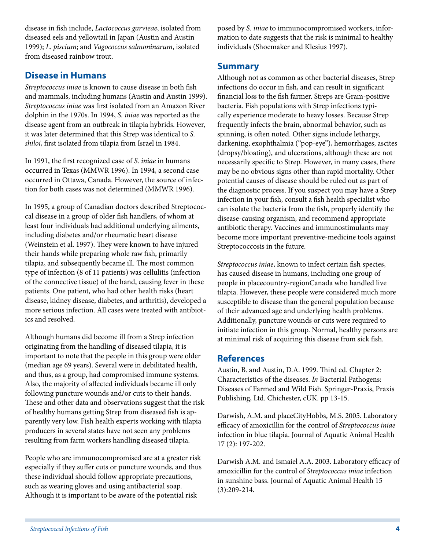disease in fish include, *Lactococcus garvieae*, isolated from diseased eels and yellowtail in Japan (Austin and Austin 1999); *L. piscium*; and *Vagococcus salmoninarum*, isolated from diseased rainbow trout.

#### **Disease in Humans**

*Streptococcus iniae* is known to cause disease in both fish and mammals, including humans (Austin and Austin 1999). *Streptococcus iniae* was first isolated from an Amazon River dolphin in the 1970s. In 1994, *S. iniae* was reported as the disease agent from an outbreak in tilapia hybrids. However, it was later determined that this Strep was identical to *S. shiloi*, first isolated from tilapia from Israel in 1984.

In 1991, the first recognized case of *S. iniae* in humans occurred in Texas (MMWR 1996). In 1994, a second case occurred in Ottawa, Canada. However, the source of infection for both cases was not determined (MMWR 1996).

In 1995, a group of Canadian doctors described Streptococcal disease in a group of older fish handlers, of whom at least four individuals had additional underlying ailments, including diabetes and/or rheumatic heart disease (Weinstein et al. 1997). They were known to have injured their hands while preparing whole raw fish, primarily tilapia, and subsequently became ill. The most common type of infection (8 of 11 patients) was cellulitis (infection of the connective tissue) of the hand, causing fever in these patients. One patient, who had other health risks (heart disease, kidney disease, diabetes, and arthritis), developed a more serious infection. All cases were treated with antibiotics and resolved.

Although humans did become ill from a Strep infection originating from the handling of diseased tilapia, it is important to note that the people in this group were older (median age 69 years). Several were in debilitated health, and thus, as a group, had compromised immune systems. Also, the majority of affected individuals became ill only following puncture wounds and/or cuts to their hands. These and other data and observations suggest that the risk of healthy humans getting Strep from diseased fish is apparently very low. Fish health experts working with tilapia producers in several states have not seen any problems resulting from farm workers handling diseased tilapia.

People who are immunocompromised are at a greater risk especially if they suffer cuts or puncture wounds, and thus these individual should follow appropriate precautions, such as wearing gloves and using antibacterial soap. Although it is important to be aware of the potential risk

posed by *S. iniae* to immunocompromised workers, information to date suggests that the risk is minimal to healthy individuals (Shoemaker and Klesius 1997).

#### **Summary**

Although not as common as other bacterial diseases, Strep infections do occur in fish, and can result in significant financial loss to the fish farmer. Streps are Gram-positive bacteria. Fish populations with Strep infections typically experience moderate to heavy losses. Because Strep frequently infects the brain, abnormal behavior, such as spinning, is often noted. Other signs include lethargy, darkening, exophthalmia ("pop-eye"), hemorrhages, ascites (dropsy/bloating), and ulcerations, although these are not necessarily specific to Strep. However, in many cases, there may be no obvious signs other than rapid mortality. Other potential causes of disease should be ruled out as part of the diagnostic process. If you suspect you may have a Strep infection in your fish, consult a fish health specialist who can isolate the bacteria from the fish, properly identify the disease-causing organism, and recommend appropriate antibiotic therapy. Vaccines and immunostimulants may become more important preventive-medicine tools against Streptococcosis in the future.

*Streptococcus iniae*, known to infect certain fish species, has caused disease in humans, including one group of people in placecountry-regionCanada who handled live tilapia. However, these people were considered much more susceptible to disease than the general population because of their advanced age and underlying health problems. Additionally, puncture wounds or cuts were required to initiate infection in this group. Normal, healthy persons are at minimal risk of acquiring this disease from sick fish.

#### **References**

Austin, B. and Austin, D.A. 1999. Third ed. Chapter 2: Characteristics of the diseases. *In* Bacterial Pathogens: Diseases of Farmed and Wild Fish. Springer-Praxis, Praxis Publishing, Ltd. Chichester, cUK. pp 13-15.

Darwish, A.M. and placeCityHobbs, M.S. 2005. Laboratory efficacy of amoxicillin for the control of *Streptococcus iniae* infection in blue tilapia. Journal of Aquatic Animal Health 17 (2): 197-202.

Darwish A.M. and Ismaiel A.A. 2003. Laboratory efficacy of amoxicillin for the control of *Streptococcus iniae* infection in sunshine bass. Journal of Aquatic Animal Health 15 (3):209-214.